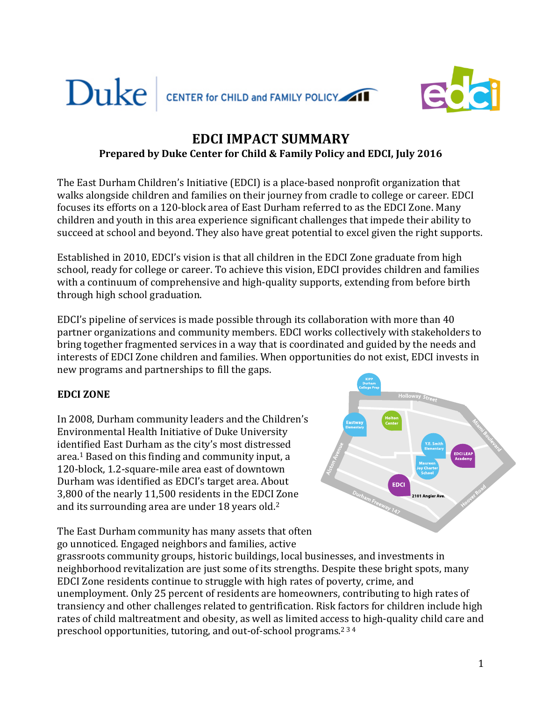



# **EDCI IMPACT SUMMARY Prepared by Duke Center for Child & Family Policy and EDCI, July 2016**

The East Durham Children's Initiative (EDCI) is a place-based nonprofit organization that walks alongside children and families on their journey from cradle to college or career. EDCI focuses its efforts on a 120-block area of East Durham referred to as the EDCI Zone. Many children and youth in this area experience significant challenges that impede their ability to succeed at school and beyond. They also have great potential to excel given the right supports.

Established in 2010, EDCI's vision is that all children in the EDCI Zone graduate from high school, ready for college or career. To achieve this vision, EDCI provides children and families with a continuum of comprehensive and high-quality supports, extending from before birth through high school graduation.

EDCI's pipeline of services is made possible through its collaboration with more than 40 partner organizations and community members. EDCI works collectively with stakeholders to bring together fragmented services in a way that is coordinated and guided by the needs and interests of EDCI Zone children and families. When opportunities do not exist, EDCI invests in new programs and partnerships to fill the gaps.

## **EDCI ZONE**

In 2008, Durham community leaders and the Children's Environmental Health Initiative of Duke University identified East Durham as the city's most distressed area. <sup>1</sup> Based on this finding and community input, a 120-block, 1.2-square-mile area east of downtown Durham was identified as EDCI's target area. About 3,800 of the nearly 11,500 residents in the EDCI Zone and its surrounding area are under 18 years old. 2

**EDCI** 

The East Durham community has many assets that often go unnoticed. Engaged neighbors and families, active

grassroots community groups, historic buildings, local businesses, and investments in neighborhood revitalization are just some of its strengths. Despite these bright spots, many EDCI Zone residents continue to struggle with high rates of poverty, crime, and unemployment. Only 25 percent of residents are homeowners, contributing to high rates of transiency and other challenges related to gentrification. Risk factors for children include high rates of child maltreatment and obesity, as well as limited access to high-quality child care and preschool opportunities, tutoring, and out-of-school programs.<sup>234</sup>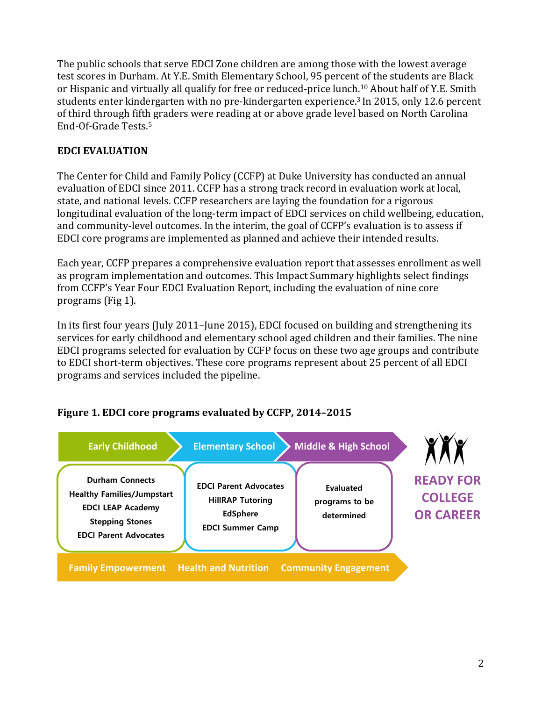The public schools that serve EDCI Zone children are among those with the lowest average test scores in Durham. At Y.E. Smith Elementary School, 95 percent of the students are Black or Hispanic and virtually all qualify for free or reduced-price lunch. <sup>10</sup> About half of Y.E. Smith students enter kindergarten with no pre-kindergarten experience. <sup>3</sup> In 2015, only 12.6 percent of third through fifth graders were reading at or above grade level based on North Carolina End-Of-Grade Tests. 5

## **EDCI EVALUATION**

The Center for Child and Family Policy (CCFP) at Duke University has conducted an annual evaluation of EDCI since 2011. CCFP has a strong track record in evaluation work at local, state, and national levels. CCFP researchers are laying the foundation for a rigorous longitudinal evaluation of the long-term impact of EDCI services on child wellbeing, education, and community-level outcomes. In the interim, the goal of CCFP's evaluation is to assess if EDCI core programs are implemented as planned and achieve their intended results.

Each year, CCFP prepares a comprehensive evaluation report that assesses enrollment as well as program implementation and outcomes. This Impact Summary highlights select findings from CCFP's Year Four EDCI Evaluation Report, including the evaluation of nine core programs (Fig 1).

In its first four years (July 2011–June 2015), EDCI focused on building and strengthening its services for early childhood and elementary school aged children and their families. The nine EDCI programs selected for evaluation by CCFP focus on these two age groups and contribute to EDCI short-term objectives. These core programs represent about 25 percent of all EDCI programs and services included the pipeline.



## **Figure 1. EDCI core programs evaluated by CCFP, 2014–2015**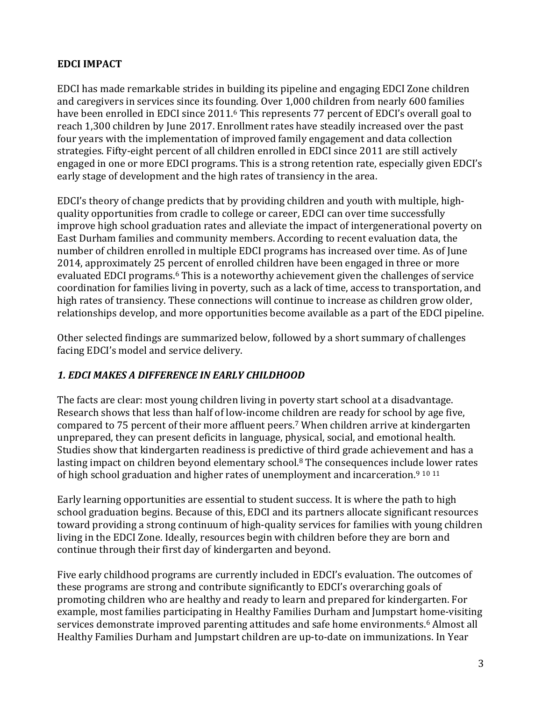## **EDCI IMPACT**

EDCI has made remarkable strides in building its pipeline and engaging EDCI Zone children and caregivers in services since its founding. Over 1,000 children from nearly 600 families have been enrolled in EDCI since 2011.<sup>6</sup> This represents 77 percent of EDCI's overall goal to reach 1,300 children by June 2017. Enrollment rates have steadily increased over the past four years with the implementation of improved family engagement and data collection strategies. Fifty-eight percent of all children enrolled in EDCI since 2011 are still actively engaged in one or more EDCI programs. This is a strong retention rate, especially given EDCI's early stage of development and the high rates of transiency in the area.

EDCI's theory of change predicts that by providing children and youth with multiple, highquality opportunities from cradle to college or career, EDCI can over time successfully improve high school graduation rates and alleviate the impact of intergenerational poverty on East Durham families and community members. According to recent evaluation data, the number of children enrolled in multiple EDCI programs has increased over time. As of June 2014, approximately 25 percent of enrolled children have been engaged in three or more evaluated EDCI programs. <sup>6</sup> This is a noteworthy achievement given the challenges of service coordination for families living in poverty, such as a lack of time, access to transportation, and high rates of transiency. These connections will continue to increase as children grow older, relationships develop, and more opportunities become available as a part of the EDCI pipeline.

Other selected findings are summarized below, followed by a short summary of challenges facing EDCI's model and service delivery.

## *1. EDCI MAKES A DIFFERENCE IN EARLY CHILDHOOD*

The facts are clear: most young children living in poverty start school at a disadvantage. Research shows that less than half of low-income children are ready for school by age five, compared to 75 percent of their more affluent peers. <sup>7</sup> When children arrive at kindergarten unprepared, they can present deficits in language, physical, social, and emotional health. Studies show that kindergarten readiness is predictive of third grade achievement and has a lasting impact on children beyond elementary school. <sup>8</sup> The consequences include lower rates of high school graduation and higher rates of unemployment and incarceration.<sup>9 10 11</sup>

Early learning opportunities are essential to student success. It is where the path to high school graduation begins. Because of this, EDCI and its partners allocate significant resources toward providing a strong continuum of high-quality services for families with young children living in the EDCI Zone. Ideally, resources begin with children before they are born and continue through their first day of kindergarten and beyond.

Five early childhood programs are currently included in EDCI's evaluation. The outcomes of these programs are strong and contribute significantly to EDCI's overarching goals of promoting children who are healthy and ready to learn and prepared for kindergarten. For example, most families participating in Healthy Families Durham and Jumpstart home-visiting services demonstrate improved parenting attitudes and safe home environments. <sup>6</sup> Almost all Healthy Families Durham and Jumpstart children are up-to-date on immunizations. In Year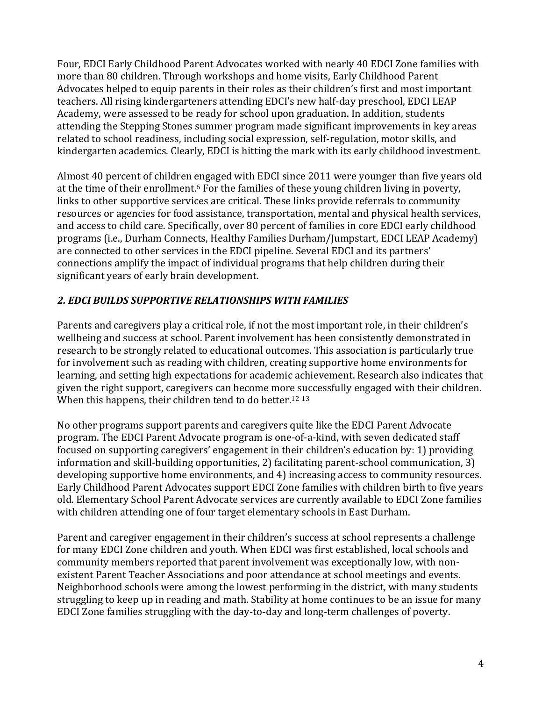Four, EDCI Early Childhood Parent Advocates worked with nearly 40 EDCI Zone families with more than 80 children. Through workshops and home visits, Early Childhood Parent Advocates helped to equip parents in their roles as their children's first and most important teachers. All rising kindergarteners attending EDCI's new half-day preschool, EDCI LEAP Academy, were assessed to be ready for school upon graduation. In addition, students attending the Stepping Stones summer program made significant improvements in key areas related to school readiness, including social expression, self-regulation, motor skills, and kindergarten academics. Clearly, EDCI is hitting the mark with its early childhood investment.

Almost 40 percent of children engaged with EDCI since 2011 were younger than five years old at the time of their enrollment.<sup>6</sup> For the families of these young children living in poverty, links to other supportive services are critical. These links provide referrals to community resources or agencies for food assistance, transportation, mental and physical health services, and access to child care. Specifically, over 80 percent of families in core EDCI early childhood programs (i.e., Durham Connects, Healthy Families Durham/Jumpstart, EDCI LEAP Academy) are connected to other services in the EDCI pipeline. Several EDCI and its partners' connections amplify the impact of individual programs that help children during their significant years of early brain development.

## *2. EDCI BUILDS SUPPORTIVE RELATIONSHIPS WITH FAMILIES*

Parents and caregivers play a critical role, if not the most important role, in their children's wellbeing and success at school. Parent involvement has been consistently demonstrated in research to be strongly related to educational outcomes. This association is particularly true for involvement such as reading with children, creating supportive home environments for learning, and setting high expectations for academic achievement. Research also indicates that given the right support, caregivers can become more successfully engaged with their children. When this happens, their children tend to do better.<sup>12 13</sup>

No other programs support parents and caregivers quite like the EDCI Parent Advocate program. The EDCI Parent Advocate program is one-of-a-kind, with seven dedicated staff focused on supporting caregivers' engagement in their children's education by: 1) providing information and skill-building opportunities, 2) facilitating parent-school communication, 3) developing supportive home environments, and 4) increasing access to community resources. Early Childhood Parent Advocates support EDCI Zone families with children birth to five years old. Elementary School Parent Advocate services are currently available to EDCI Zone families with children attending one of four target elementary schools in East Durham.

Parent and caregiver engagement in their children's success at school represents a challenge for many EDCI Zone children and youth. When EDCI was first established, local schools and community members reported that parent involvement was exceptionally low, with nonexistent Parent Teacher Associations and poor attendance at school meetings and events. Neighborhood schools were among the lowest performing in the district, with many students struggling to keep up in reading and math. Stability at home continues to be an issue for many EDCI Zone families struggling with the day-to-day and long-term challenges of poverty.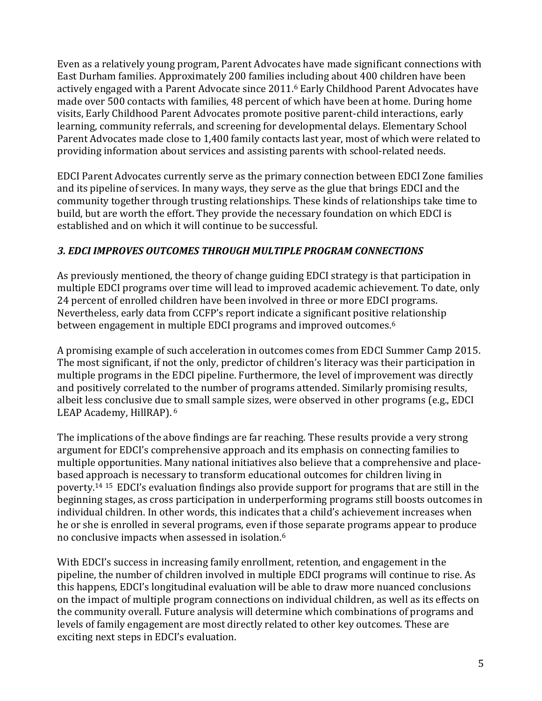Even as a relatively young program, Parent Advocates have made significant connections with East Durham families. Approximately 200 families including about 400 children have been actively engaged with a Parent Advocate since 2011. <sup>6</sup> Early Childhood Parent Advocates have made over 500 contacts with families, 48 percent of which have been at home. During home visits, Early Childhood Parent Advocates promote positive parent-child interactions, early learning, community referrals, and screening for developmental delays. Elementary School Parent Advocates made close to 1,400 family contacts last year, most of which were related to providing information about services and assisting parents with school-related needs.

EDCI Parent Advocates currently serve as the primary connection between EDCI Zone families and its pipeline of services. In many ways, they serve as the glue that brings EDCI and the community together through trusting relationships. These kinds of relationships take time to build, but are worth the effort. They provide the necessary foundation on which EDCI is established and on which it will continue to be successful.

## *3. EDCI IMPROVES OUTCOMES THROUGH MULTIPLE PROGRAM CONNECTIONS*

As previously mentioned, the theory of change guiding EDCI strategy is that participation in multiple EDCI programs over time will lead to improved academic achievement. To date, only 24 percent of enrolled children have been involved in three or more EDCI programs. Nevertheless, early data from CCFP's report indicate a significant positive relationship between engagement in multiple EDCI programs and improved outcomes. 6

A promising example of such acceleration in outcomes comes from EDCI Summer Camp 2015. The most significant, if not the only, predictor of children's literacy was their participation in multiple programs in the EDCI pipeline. Furthermore, the level of improvement was directly and positively correlated to the number of programs attended. Similarly promising results, albeit less conclusive due to small sample sizes, were observed in other programs (e.g., EDCI LEAP Academy, HillRAP). <sup>6</sup>

The implications of the above findings are far reaching. These results provide a very strong argument for EDCI's comprehensive approach and its emphasis on connecting families to multiple opportunities. Many national initiatives also believe that a comprehensive and placebased approach is necessary to transform educational outcomes for children living in poverty. <sup>14</sup> <sup>15</sup> EDCI's evaluation findings also provide support for programs that are still in the beginning stages, as cross participation in underperforming programs still boosts outcomes in individual children. In other words, this indicates that a child's achievement increases when he or she is enrolled in several programs, even if those separate programs appear to produce no conclusive impacts when assessed in isolation. 6

With EDCI's success in increasing family enrollment, retention, and engagement in the pipeline, the number of children involved in multiple EDCI programs will continue to rise. As this happens, EDCI's longitudinal evaluation will be able to draw more nuanced conclusions on the impact of multiple program connections on individual children, as well as its effects on the community overall. Future analysis will determine which combinations of programs and levels of family engagement are most directly related to other key outcomes. These are exciting next steps in EDCI's evaluation.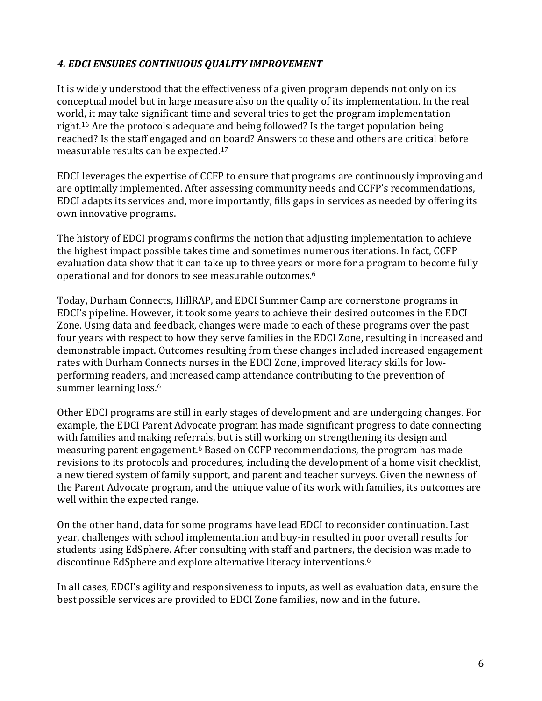## *4. EDCI ENSURES CONTINUOUS QUALITY IMPROVEMENT*

It is widely understood that the effectiveness of a given program depends not only on its conceptual model but in large measure also on the quality of its implementation. In the real world, it may take significant time and several tries to get the program implementation right. <sup>16</sup> Are the protocols adequate and being followed? Is the target population being reached? Is the staff engaged and on board? Answers to these and others are critical before measurable results can be expected. 17

EDCI leverages the expertise of CCFP to ensure that programs are continuously improving and are optimally implemented. After assessing community needs and CCFP's recommendations, EDCI adapts its services and, more importantly, fills gaps in services as needed by offering its own innovative programs.

The history of EDCI programs confirms the notion that adjusting implementation to achieve the highest impact possible takes time and sometimes numerous iterations. In fact, CCFP evaluation data show that it can take up to three years or more for a program to become fully operational and for donors to see measurable outcomes. 6

Today, Durham Connects, HillRAP, and EDCI Summer Camp are cornerstone programs in EDCI's pipeline. However, it took some years to achieve their desired outcomes in the EDCI Zone. Using data and feedback, changes were made to each of these programs over the past four years with respect to how they serve families in the EDCI Zone, resulting in increased and demonstrable impact. Outcomes resulting from these changes included increased engagement rates with Durham Connects nurses in the EDCI Zone, improved literacy skills for lowperforming readers, and increased camp attendance contributing to the prevention of summer learning loss. 6

Other EDCI programs are still in early stages of development and are undergoing changes. For example, the EDCI Parent Advocate program has made significant progress to date connecting with families and making referrals, but is still working on strengthening its design and measuring parent engagement. <sup>6</sup> Based on CCFP recommendations, the program has made revisions to its protocols and procedures, including the development of a home visit checklist, a new tiered system of family support, and parent and teacher surveys. Given the newness of the Parent Advocate program, and the unique value of its work with families, its outcomes are well within the expected range.

On the other hand, data for some programs have lead EDCI to reconsider continuation. Last year, challenges with school implementation and buy-in resulted in poor overall results for students using EdSphere. After consulting with staff and partners, the decision was made to discontinue EdSphere and explore alternative literacy interventions. 6

In all cases, EDCI's agility and responsiveness to inputs, as well as evaluation data, ensure the best possible services are provided to EDCI Zone families, now and in the future.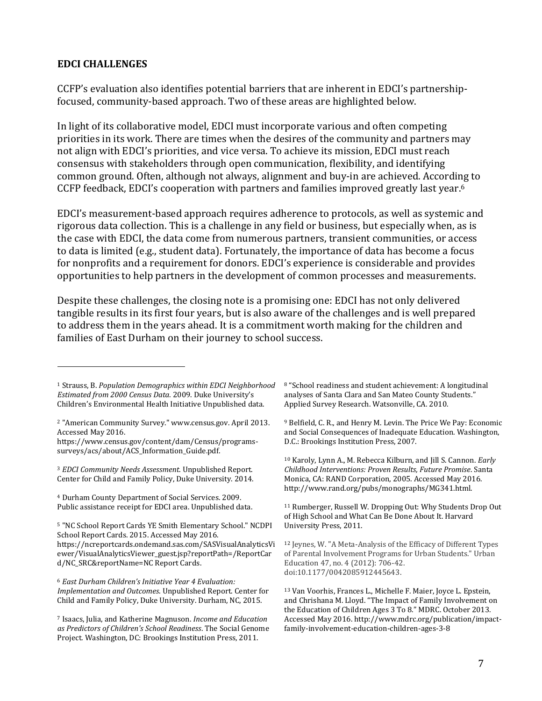#### **EDCI CHALLENGES**

 $\overline{a}$ 

CCFP's evaluation also identifies potential barriers that are inherent in EDCI's partnershipfocused, community-based approach. Two of these areas are highlighted below.

In light of its collaborative model, EDCI must incorporate various and often competing priorities in its work. There are times when the desires of the community and partners may not align with EDCI's priorities, and vice versa. To achieve its mission, EDCI must reach consensus with stakeholders through open communication, flexibility, and identifying common ground. Often, although not always, alignment and buy-in are achieved. According to CCFP feedback, EDCI's cooperation with partners and families improved greatly last year. 6

EDCI's measurement-based approach requires adherence to protocols, as well as systemic and rigorous data collection. This is a challenge in any field or business, but especially when, as is the case with EDCI, the data come from numerous partners, transient communities, or access to data is limited (e.g., student data). Fortunately, the importance of data has become a focus for nonprofits and a requirement for donors. EDCI's experience is considerable and provides opportunities to help partners in the development of common processes and measurements.

Despite these challenges, the closing note is a promising one: EDCI has not only delivered tangible results in its first four years, but is also aware of the challenges and is well prepared to address them in the years ahead. It is a commitment worth making for the children and families of East Durham on their journey to school success.

<sup>3</sup> *EDCI Community Needs Assessment*. Unpublished Report. Center for Child and Family Policy, Duke University. 2014.

<sup>4</sup> Durham County Department of Social Services. 2009. Public assistance receipt for EDCI area. Unpublished data.

<sup>5</sup> "NC School Report Cards YE Smith Elementary School." NCDPI School Report Cards. 2015. Accessed May 2016. https://ncreportcards.ondemand.sas.com/SASVisualAnalyticsVi ewer/VisualAnalyticsViewer\_guest.jsp?reportPath=/ReportCar d/NC\_SRC&reportName=NC Report Cards.

<sup>6</sup> *East Durham Children's Initiative Year 4 Evaluation: Implementation and Outcomes*. Unpublished Report. Center for Child and Family Policy, Duke University. Durham, NC, 2015.

<sup>7</sup> Isaacs, Julia, and Katherine Magnuson. *Income and Education as Predictors of Children's School Readiness*. The Social Genome Project. Washington, DC: Brookings Institution Press, 2011.

<sup>8</sup> "School readiness and student achievement: A longitudinal analyses of Santa Clara and San Mateo County Students." Applied Survey Research. Watsonville, CA. 2010.

<sup>9</sup> Belfield, C. R., and Henry M. Levin. The Price We Pay: Economic and Social Consequences of Inadequate Education. Washington, D.C.: Brookings Institution Press, 2007.

<sup>10</sup> Karoly, Lynn A., M. Rebecca Kilburn, and Jill S. Cannon. *Early Childhood Interventions: Proven Results, Future Promise*. Santa Monica, CA: RAND Corporation, 2005. Accessed May 2016. http://www.rand.org/pubs/monographs/MG341.html.

<sup>11</sup> Rumberger, Russell W. Dropping Out: Why Students Drop Out of High School and What Can Be Done About It. Harvard University Press, 2011.

<sup>12</sup> Jeynes, W. "A Meta-Analysis of the Efficacy of Different Types of Parental Involvement Programs for Urban Students." Urban Education 47, no. 4 (2012): 706-42. doi:10.1177/0042085912445643.

<sup>13</sup> Van Voorhis, Frances L., Michelle F. Maier, Joyce L. Epstein, and Chrishana M. Lloyd. "The Impact of Family Involvement on the Education of Children Ages 3 To 8." MDRC. October 2013. Accessed May 2016. http://www.mdrc.org/publication/impactfamily-involvement-education-children-ages-3-8

<sup>1</sup> Strauss, B. *Population Demographics within EDCI Neighborhood Estimated from 2000 Census Data*. 2009. Duke University's Children's Environmental Health Initiative Unpublished data.

<sup>2</sup> "American Community Survey." www.census.gov. April 2013. Accessed May 2016.

https://www.census.gov/content/dam/Census/programssurveys/acs/about/ACS\_Information\_Guide.pdf.